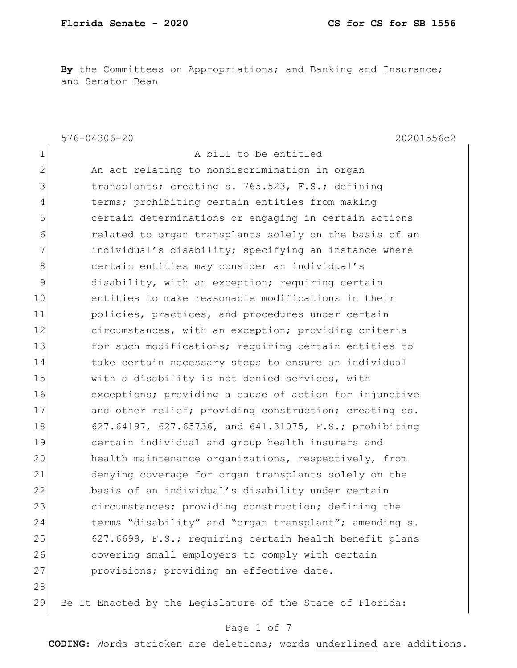By the Committees on Appropriations; and Banking and Insurance; and Senator Bean

|               | $576 - 04306 - 20$<br>20201556c2                          |
|---------------|-----------------------------------------------------------|
| $\mathbf 1$   | A bill to be entitled                                     |
| $\mathbf{2}$  | An act relating to nondiscrimination in organ             |
| 3             | transplants; creating s. 765.523, F.S.; defining          |
| 4             | terms; prohibiting certain entities from making           |
| 5             | certain determinations or engaging in certain actions     |
| 6             | related to organ transplants solely on the basis of an    |
| 7             | individual's disability; specifying an instance where     |
| 8             | certain entities may consider an individual's             |
| $\mathcal{G}$ | disability, with an exception; requiring certain          |
| 10            | entities to make reasonable modifications in their        |
| 11            | policies, practices, and procedures under certain         |
| 12            | circumstances, with an exception; providing criteria      |
| 13            | for such modifications; requiring certain entities to     |
| 14            | take certain necessary steps to ensure an individual      |
| 15            | with a disability is not denied services, with            |
| 16            | exceptions; providing a cause of action for injunctive    |
| 17            | and other relief; providing construction; creating ss.    |
| 18            | 627.64197, 627.65736, and 641.31075, F.S.; prohibiting    |
| 19            | certain individual and group health insurers and          |
| 20            | health maintenance organizations, respectively, from      |
| 21            | denying coverage for organ transplants solely on the      |
| 22            | basis of an individual's disability under certain         |
| 23            | circumstances; providing construction; defining the       |
| 24            | terms "disability" and "organ transplant"; amending s.    |
| 25            | 627.6699, F.S.; requiring certain health benefit plans    |
| 26            | covering small employers to comply with certain           |
| 27            | provisions; providing an effective date.                  |
| 28            |                                                           |
| 29            | Be It Enacted by the Legislature of the State of Florida: |

## Page 1 of 7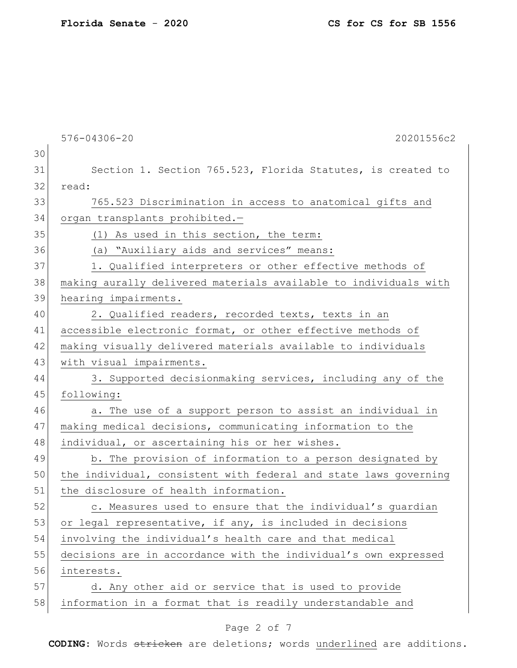|    | 576-04306-20<br>20201556c2                                       |
|----|------------------------------------------------------------------|
| 30 |                                                                  |
| 31 | Section 1. Section 765.523, Florida Statutes, is created to      |
| 32 | read:                                                            |
| 33 | 765.523 Discrimination in access to anatomical gifts and         |
| 34 | organ transplants prohibited.-                                   |
| 35 | (1) As used in this section, the term:                           |
| 36 | (a) "Auxiliary aids and services" means:                         |
| 37 | 1. Qualified interpreters or other effective methods of          |
| 38 | making aurally delivered materials available to individuals with |
| 39 | hearing impairments.                                             |
| 40 | 2. Qualified readers, recorded texts, texts in an                |
| 41 | accessible electronic format, or other effective methods of      |
| 42 | making visually delivered materials available to individuals     |
| 43 | with visual impairments.                                         |
| 44 | 3. Supported decisionmaking services, including any of the       |
| 45 | following:                                                       |
| 46 | a. The use of a support person to assist an individual in        |
| 47 | making medical decisions, communicating information to the       |
| 48 | individual, or ascertaining his or her wishes.                   |
| 49 | b. The provision of information to a person designated by        |
| 50 | the individual, consistent with federal and state laws governing |
| 51 | the disclosure of health information.                            |
| 52 | c. Measures used to ensure that the individual's guardian        |
| 53 | or legal representative, if any, is included in decisions        |
| 54 | involving the individual's health care and that medical          |
| 55 | decisions are in accordance with the individual's own expressed  |
| 56 | interests.                                                       |
| 57 | d. Any other aid or service that is used to provide              |
| 58 | information in a format that is readily understandable and       |
|    |                                                                  |

# Page 2 of 7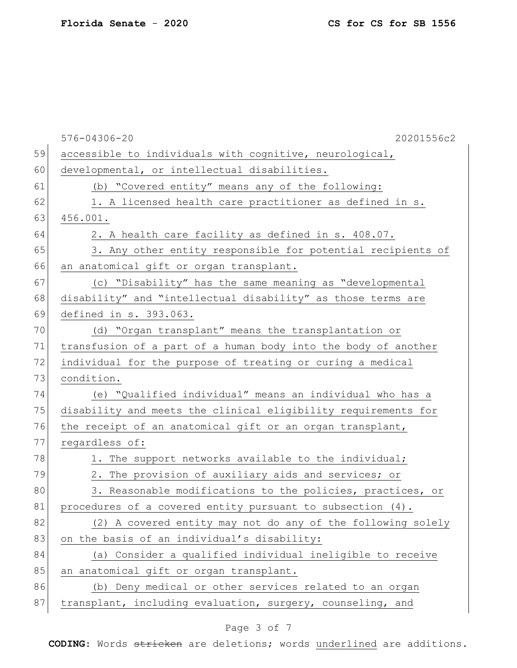|        | $576 - 04306 - 20$<br>20201556c2                               |
|--------|----------------------------------------------------------------|
| 59     | accessible to individuals with cognitive, neurological,        |
| 60     | developmental, or intellectual disabilities.                   |
| 61     | (b) "Covered entity" means any of the following:               |
| 62     | 1. A licensed health care practitioner as defined in s.        |
| 63     | 456.001.                                                       |
| 64     | 2. A health care facility as defined in s. 408.07.             |
| 65     | 3. Any other entity responsible for potential recipients of    |
| 66     | an anatomical gift or organ transplant.                        |
| 67     | (c) "Disability" has the same meaning as "developmental        |
| 68     | disability" and "intellectual disability" as those terms are   |
| 69     | defined in s. 393.063.                                         |
| 70     | (d) "Organ transplant" means the transplantation or            |
| 71     | transfusion of a part of a human body into the body of another |
| 72     | individual for the purpose of treating or curing a medical     |
| 73     | condition.                                                     |
| 74     | (e) "Qualified individual" means an individual who has a       |
| 75     | disability and meets the clinical eligibility requirements for |
| 76     | the receipt of an anatomical gift or an organ transplant,      |
| 77     | regardless of:                                                 |
| 78     | 1. The support networks available to the individual;           |
| 79     | 2. The provision of auxiliary aids and services; or            |
| 80     | 3. Reasonable modifications to the policies, practices, or     |
| 81     | procedures of a covered entity pursuant to subsection (4).     |
| 82     | (2) A covered entity may not do any of the following solely    |
| 83     | on the basis of an individual's disability:                    |
| 84     | (a) Consider a qualified individual ineligible to receive      |
| 85     | an anatomical gift or organ transplant.                        |
| 86     | (b) Deny medical or other services related to an organ         |
| $8\,7$ | transplant, including evaluation, surgery, counseling, and     |
|        |                                                                |

# Page 3 of 7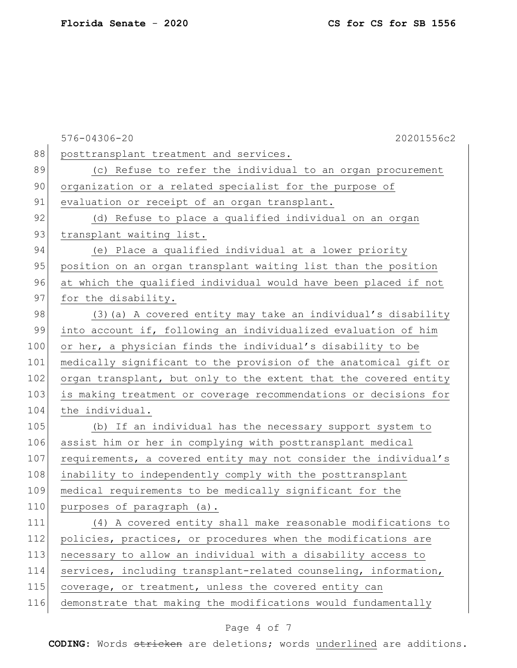|     | 576-04306-20<br>20201556c2                                       |
|-----|------------------------------------------------------------------|
| 88  | posttransplant treatment and services.                           |
| 89  | (c) Refuse to refer the individual to an organ procurement       |
| 90  | organization or a related specialist for the purpose of          |
| 91  | evaluation or receipt of an organ transplant.                    |
| 92  | (d) Refuse to place a qualified individual on an organ           |
| 93  | transplant waiting list.                                         |
| 94  | (e) Place a qualified individual at a lower priority             |
| 95  | position on an organ transplant waiting list than the position   |
| 96  | at which the qualified individual would have been placed if not  |
| 97  | for the disability.                                              |
| 98  | (3) (a) A covered entity may take an individual's disability     |
| 99  | into account if, following an individualized evaluation of him   |
| 100 | or her, a physician finds the individual's disability to be      |
| 101 | medically significant to the provision of the anatomical gift or |
| 102 | organ transplant, but only to the extent that the covered entity |
| 103 | is making treatment or coverage recommendations or decisions for |
| 104 | the individual.                                                  |
| 105 | (b) If an individual has the necessary support system to         |
| 106 | assist him or her in complying with posttransplant medical       |
| 107 | requirements, a covered entity may not consider the individual's |
| 108 | inability to independently comply with the posttransplant        |
| 109 | medical requirements to be medically significant for the         |
| 110 | purposes of paragraph (a).                                       |
| 111 | (4) A covered entity shall make reasonable modifications to      |
| 112 | policies, practices, or procedures when the modifications are    |
| 113 | necessary to allow an individual with a disability access to     |
| 114 | services, including transplant-related counseling, information,  |
| 115 | coverage, or treatment, unless the covered entity can            |
| 116 | demonstrate that making the modifications would fundamentally    |
|     |                                                                  |

# Page 4 of 7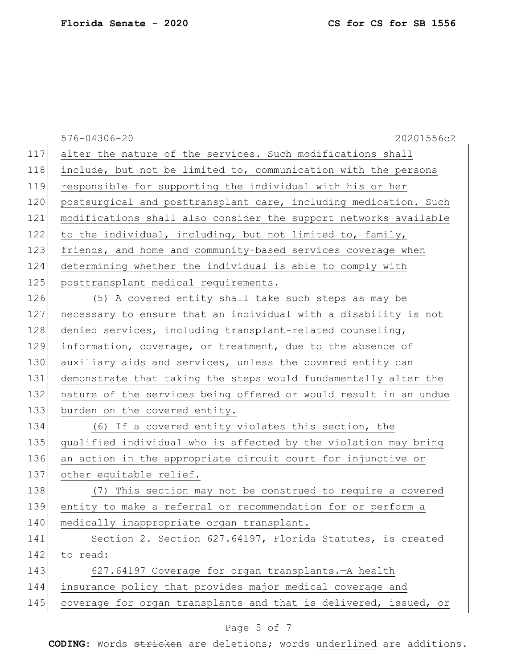|     | 20201556c2<br>576-04306-20                                       |
|-----|------------------------------------------------------------------|
| 117 | alter the nature of the services. Such modifications shall       |
| 118 | include, but not be limited to, communication with the persons   |
| 119 | responsible for supporting the individual with his or her        |
| 120 | postsurgical and posttransplant care, including medication. Such |
| 121 | modifications shall also consider the support networks available |
| 122 | to the individual, including, but not limited to, family,        |
| 123 | friends, and home and community-based services coverage when     |
| 124 | determining whether the individual is able to comply with        |
| 125 | posttransplant medical requirements.                             |
| 126 | (5) A covered entity shall take such steps as may be             |
| 127 | necessary to ensure that an individual with a disability is not  |
| 128 | denied services, including transplant-related counseling,        |
| 129 | information, coverage, or treatment, due to the absence of       |
| 130 | auxiliary aids and services, unless the covered entity can       |
| 131 | demonstrate that taking the steps would fundamentally alter the  |
| 132 | nature of the services being offered or would result in an undue |
| 133 | burden on the covered entity.                                    |
| 134 | (6) If a covered entity violates this section, the               |
| 135 | qualified individual who is affected by the violation may bring  |
| 136 | an action in the appropriate circuit court for injunctive or     |
| 137 | other equitable relief.                                          |
| 138 | (7) This section may not be construed to require a covered       |
| 139 | entity to make a referral or recommendation for or perform a     |
| 140 | medically inappropriate organ transplant.                        |
| 141 | Section 2. Section 627.64197, Florida Statutes, is created       |
| 142 | to read:                                                         |
| 143 | 627.64197 Coverage for organ transplants. - A health             |
| 144 | insurance policy that provides major medical coverage and        |
| 145 | coverage for organ transplants and that is delivered, issued, or |
|     |                                                                  |

# Page 5 of 7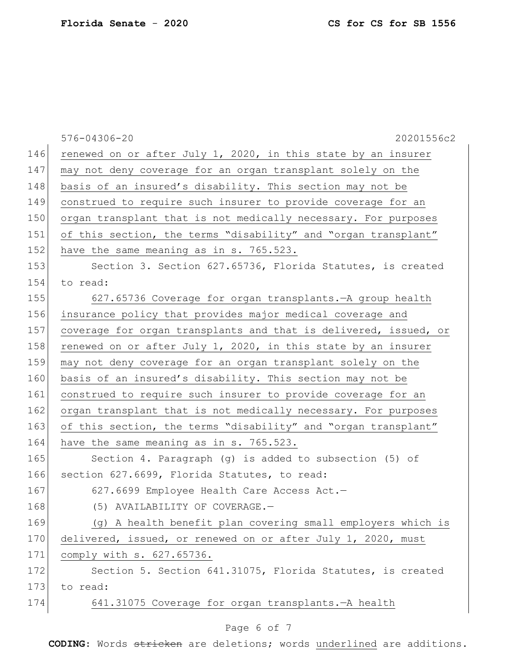|     | 576-04306-20<br>20201556c2                                       |
|-----|------------------------------------------------------------------|
| 146 | renewed on or after July 1, 2020, in this state by an insurer    |
| 147 | may not deny coverage for an organ transplant solely on the      |
| 148 | basis of an insured's disability. This section may not be        |
| 149 | construed to require such insurer to provide coverage for an     |
| 150 | organ transplant that is not medically necessary. For purposes   |
| 151 | of this section, the terms "disability" and "organ transplant"   |
| 152 | have the same meaning as in s. 765.523.                          |
| 153 | Section 3. Section 627.65736, Florida Statutes, is created       |
| 154 | to read:                                                         |
| 155 | 627.65736 Coverage for organ transplants. - A group health       |
| 156 | insurance policy that provides major medical coverage and        |
| 157 | coverage for organ transplants and that is delivered, issued, or |
| 158 | renewed on or after July 1, 2020, in this state by an insurer    |
| 159 | may not deny coverage for an organ transplant solely on the      |
| 160 | basis of an insured's disability. This section may not be        |
| 161 | construed to require such insurer to provide coverage for an     |
| 162 | organ transplant that is not medically necessary. For purposes   |
| 163 | of this section, the terms "disability" and "organ transplant"   |
| 164 | have the same meaning as in s. 765.523.                          |
| 165 | Section 4. Paragraph (g) is added to subsection (5) of           |
| 166 | section 627.6699, Florida Statutes, to read:                     |
| 167 | 627.6699 Employee Health Care Access Act.-                       |
| 168 | (5) AVAILABILITY OF COVERAGE.-                                   |
| 169 | (g) A health benefit plan covering small employers which is      |
| 170 | delivered, issued, or renewed on or after July 1, 2020, must     |
| 171 | comply with s. 627.65736.                                        |
| 172 | Section 5. Section 641.31075, Florida Statutes, is created       |
| 173 | to read:                                                         |
| 174 | 641.31075 Coverage for organ transplants. - A health             |
|     |                                                                  |

## Page 6 of 7